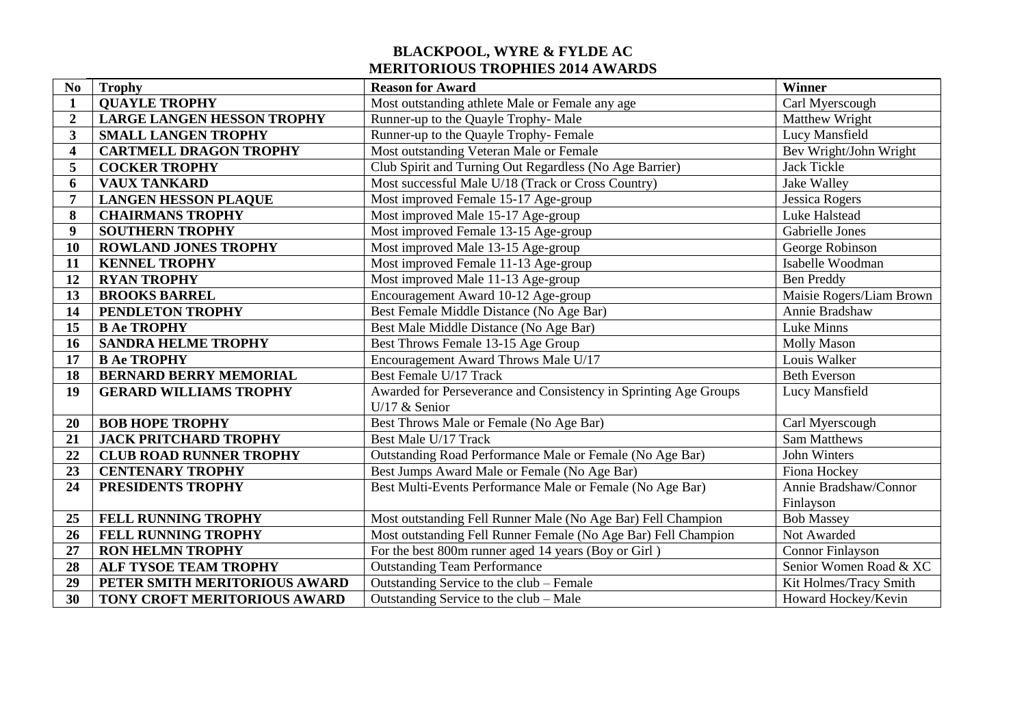## **BLACKPOOL, WYRE & FYLDE AC MERITORIOUS TROPHIES 2014 AWARDS**

| N <sub>o</sub>          | <b>Trophy</b>                     | <b>Reason for Award</b>                                          | Winner                   |
|-------------------------|-----------------------------------|------------------------------------------------------------------|--------------------------|
| 1                       | <b>QUAYLE TROPHY</b>              | Most outstanding athlete Male or Female any age                  | Carl Myerscough          |
| $\boldsymbol{2}$        | <b>LARGE LANGEN HESSON TROPHY</b> | Runner-up to the Quayle Trophy-Male                              | Matthew Wright           |
| 3                       | <b>SMALL LANGEN TROPHY</b>        | Runner-up to the Quayle Trophy-Female                            | Lucy Mansfield           |
| $\overline{\mathbf{4}}$ | <b>CARTMELL DRAGON TROPHY</b>     | Most outstanding Veteran Male or Female                          | Bev Wright/John Wright   |
| 5                       | <b>COCKER TROPHY</b>              | Club Spirit and Turning Out Regardless (No Age Barrier)          | <b>Jack Tickle</b>       |
| 6                       | <b>VAUX TANKARD</b>               | Most successful Male U/18 (Track or Cross Country)               | Jake Walley              |
| 7                       | <b>LANGEN HESSON PLAQUE</b>       | Most improved Female 15-17 Age-group                             | Jessica Rogers           |
| 8                       | <b>CHAIRMANS TROPHY</b>           | Most improved Male 15-17 Age-group                               | Luke Halstead            |
| $\boldsymbol{9}$        | <b>SOUTHERN TROPHY</b>            | Most improved Female 13-15 Age-group                             | <b>Gabrielle Jones</b>   |
| 10                      | <b>ROWLAND JONES TROPHY</b>       | Most improved Male 13-15 Age-group                               | George Robinson          |
| 11                      | <b>KENNEL TROPHY</b>              | Most improved Female 11-13 Age-group                             | Isabelle Woodman         |
| 12                      | <b>RYAN TROPHY</b>                | Most improved Male 11-13 Age-group                               | <b>Ben Preddy</b>        |
| 13                      | <b>BROOKS BARREL</b>              | Encouragement Award 10-12 Age-group                              | Maisie Rogers/Liam Brown |
| 14                      | PENDLETON TROPHY                  | Best Female Middle Distance (No Age Bar)                         | Annie Bradshaw           |
| 15                      | <b>B Ae TROPHY</b>                | Best Male Middle Distance (No Age Bar)                           | Luke Minns               |
| 16                      | <b>SANDRA HELME TROPHY</b>        | Best Throws Female 13-15 Age Group                               | <b>Molly Mason</b>       |
| 17                      | <b>B Ae TROPHY</b>                | Encouragement Award Throws Male U/17                             | Louis Walker             |
| 18                      | <b>BERNARD BERRY MEMORIAL</b>     | Best Female U/17 Track                                           | <b>Beth Everson</b>      |
| 19                      | <b>GERARD WILLIAMS TROPHY</b>     | Awarded for Perseverance and Consistency in Sprinting Age Groups | Lucy Mansfield           |
|                         |                                   | U/17 $&$ Senior                                                  |                          |
| 20                      | <b>BOB HOPE TROPHY</b>            | Best Throws Male or Female (No Age Bar)                          | Carl Myerscough          |
| 21                      | <b>JACK PRITCHARD TROPHY</b>      | Best Male U/17 Track                                             | Sam Matthews             |
| 22                      | <b>CLUB ROAD RUNNER TROPHY</b>    | Outstanding Road Performance Male or Female (No Age Bar)         | John Winters             |
| 23                      | <b>CENTENARY TROPHY</b>           | Best Jumps Award Male or Female (No Age Bar)                     | Fiona Hockey             |
| 24                      | PRESIDENTS TROPHY                 | Best Multi-Events Performance Male or Female (No Age Bar)        | Annie Bradshaw/Connor    |
|                         |                                   |                                                                  | Finlayson                |
| 25                      | FELL RUNNING TROPHY               | Most outstanding Fell Runner Male (No Age Bar) Fell Champion     | <b>Bob Massey</b>        |
| 26                      | FELL RUNNING TROPHY               | Most outstanding Fell Runner Female (No Age Bar) Fell Champion   | Not Awarded              |
| 27                      | <b>RON HELMN TROPHY</b>           | For the best 800m runner aged 14 years (Boy or Girl)             | <b>Connor Finlayson</b>  |
| 28                      | ALF TYSOE TEAM TROPHY             | <b>Outstanding Team Performance</b>                              | Senior Women Road & XC   |
| 29                      | PETER SMITH MERITORIOUS AWARD     | Outstanding Service to the club – Female                         | Kit Holmes/Tracy Smith   |
| 30                      | TONY CROFT MERITORIOUS AWARD      | Outstanding Service to the club - Male                           | Howard Hockey/Kevin      |